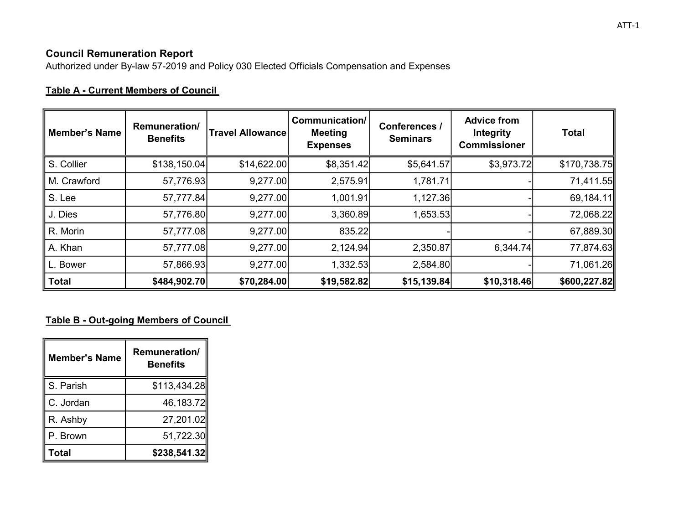# Council Remuneration Report

Authorized under By-law 57-2019 and Policy 030 Elected Officials Compensation and Expenses

# Table A - Current Members of Council

| <b>Member's Name</b> | Remuneration/<br><b>Benefits</b> | <b>Travel Allowance</b> | Communication/<br><b>Meeting</b><br><b>Expenses</b> | Conferences /<br><b>Seminars</b> | <b>Advice from</b><br><b>Integrity</b><br><b>Commissioner</b> | <b>Total</b> |
|----------------------|----------------------------------|-------------------------|-----------------------------------------------------|----------------------------------|---------------------------------------------------------------|--------------|
| S. Collier           | \$138,150.04                     | \$14,622.00             | \$8,351.42                                          | \$5,641.57                       | \$3,973.72                                                    | \$170,738.75 |
| M. Crawford          | 57,776.93                        | 9,277.00                | 2,575.91                                            | 1,781.71                         |                                                               | 71,411.55    |
| S. Lee               | 57,777.84                        | 9,277.00                | 1,001.91                                            | 1,127.36                         |                                                               | 69,184.11    |
| J. Dies              | 57,776.80                        | 9,277.00                | 3,360.89                                            | 1,653.53                         |                                                               | 72,068.22    |
| R. Morin             | 57,777.08                        | 9,277.00                | 835.22                                              |                                  |                                                               | 67,889.30    |
| A. Khan              | 57,777.08                        | 9,277.00                | 2,124.94                                            | 2,350.87                         | 6,344.74                                                      | 77,874.63    |
| L. Bower             | 57,866.93                        | 9,277.00                | 1,332.53                                            | 2,584.80                         |                                                               | 71,061.26    |
| <b>Total</b>         | \$484,902.70                     | \$70,284.00             | \$19,582.82                                         | \$15,139.84                      | \$10,318.46                                                   | \$600,227.82 |

# Table B - Out-going Members of Council

| <b>Member's Name</b> | <b>Remuneration/</b><br><b>Benefits</b> |  |
|----------------------|-----------------------------------------|--|
| S. Parish            | \$113,434.28                            |  |
| C. Jordan            | 46,183.72                               |  |
| R. Ashby             | 27,201.02                               |  |
| P. Brown             | 51,722.30                               |  |
| Total                | \$238,541.32                            |  |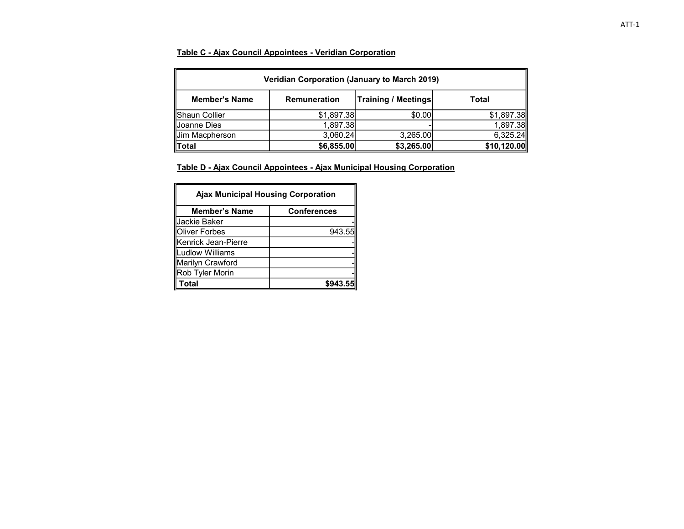#### Table C - Ajax Council Appointees - Veridian Corporation

| Veridian Corporation (January to March 2019)                                       |            |          |            |  |
|------------------------------------------------------------------------------------|------------|----------|------------|--|
| <b>Training / Meetings</b><br><b>Member's Name</b><br><b>Remuneration</b><br>Total |            |          |            |  |
| Shaun Collier                                                                      | \$1,897.38 | \$0.00   | \$1,897.38 |  |
| Joanne Dies                                                                        | 1,897.38   |          | 1,897.38   |  |
| Uim Macpherson                                                                     | 3,060.24   | 3,265.00 | 6,325.24   |  |
| \$10,120.00<br>∥Total<br>\$6,855.00<br>\$3,265.00                                  |            |          |            |  |

Table D - Ajax Council Appointees - Ajax Municipal Housing Corporation

| <b>Ajax Municipal Housing Corporation</b> |                    |  |
|-------------------------------------------|--------------------|--|
| <b>Member's Name</b>                      | <b>Conferences</b> |  |
| Jackie Baker                              |                    |  |
| lOliver Forbes                            | 943.55             |  |
| Kenrick Jean-Pierre                       |                    |  |
| Ludlow Williams                           |                    |  |
| Marilyn Crawford                          |                    |  |
| Rob Tyler Morin                           |                    |  |
| Гоtal                                     |                    |  |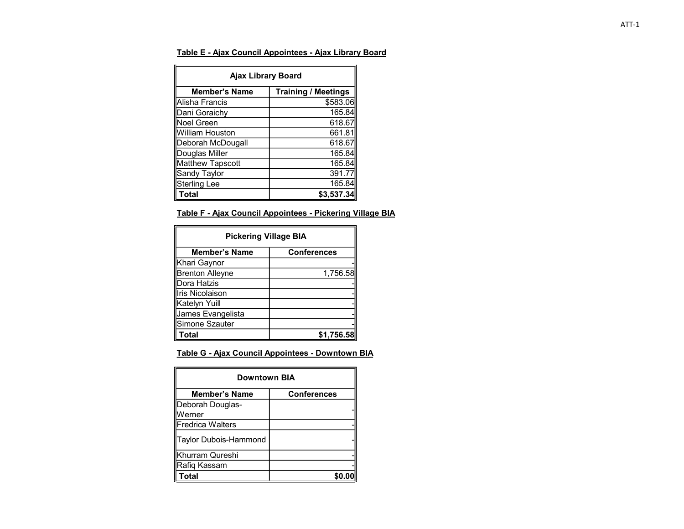#### Table E - Ajax Council Appointees - Ajax Library Board

| <b>Ajax Library Board</b>                          |            |  |  |
|----------------------------------------------------|------------|--|--|
| <b>Training / Meetings</b><br><b>Member's Name</b> |            |  |  |
| Alisha Francis                                     | \$583.06   |  |  |
| Dani Goraichy                                      | 165.84     |  |  |
| Noel Green                                         | 618.67     |  |  |
| William Houston                                    | 661.81     |  |  |
| Deborah McDougall                                  | 618.67     |  |  |
| Douglas Miller                                     | 165.84     |  |  |
| <b>Matthew Tapscott</b>                            | 165.84     |  |  |
| Sandy Taylor                                       | 391.77     |  |  |
| Sterling Lee                                       | 165.84     |  |  |
| Total                                              | \$3,537,34 |  |  |

#### Table F - Ajax Council Appointees - Pickering Village BIA

| <b>Pickering Village BIA</b> |                    |  |
|------------------------------|--------------------|--|
| <b>Member's Name</b>         | <b>Conferences</b> |  |
| Khari Gaynor                 |                    |  |
| <b>Brenton Alleyne</b>       | 1,756.58           |  |
| lDora Hatzis                 |                    |  |
| Iris Nicolaison              |                    |  |
| Katelyn Yuill                |                    |  |
| James Evangelista            |                    |  |
| Simone Szauter               |                    |  |
| Total                        |                    |  |

## Table G - Ajax Council Appointees - Downtown BIA

| <b>Downtown BIA</b>   |                    |  |
|-----------------------|--------------------|--|
| <b>Member's Name</b>  | <b>Conferences</b> |  |
| Deborah Douglas-      |                    |  |
| Werner                |                    |  |
| Fredrica Walters      |                    |  |
| Taylor Dubois-Hammond |                    |  |
| Khurram Qureshi       |                    |  |
| Rafiq Kassam          |                    |  |
| Total                 |                    |  |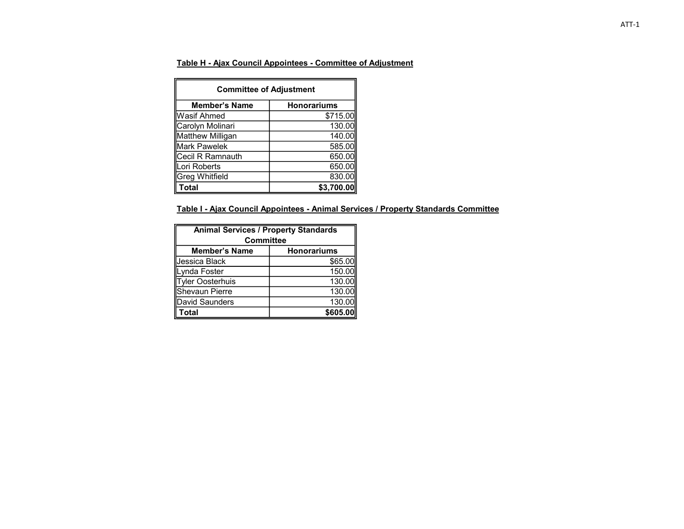### Table H - Ajax Council Appointees - Committee of Adjustment

| <b>Committee of Adjustment</b> |                    |  |
|--------------------------------|--------------------|--|
| <b>Member's Name</b>           | <b>Honorariums</b> |  |
| Wasif Ahmed                    | \$715.00           |  |
| Carolyn Molinari               | 130.00             |  |
| Matthew Milligan               | 140.00             |  |
| Mark Pawelek                   | 585.00             |  |
| Cecil R Ramnauth               | 650.00             |  |
| Lori Roberts                   | 650.00             |  |
| <b>Greg Whitfield</b>          | 830.00             |  |
| Total                          | \$3.700.0          |  |

## Table I - Ajax Council Appointees - Animal Services / Property Standards Committee

| <b>Animal Services / Property Standards</b><br><b>Committee</b> |          |  |
|-----------------------------------------------------------------|----------|--|
| <b>Honorariums</b><br><b>Member's Name</b>                      |          |  |
| Jessica Black                                                   | \$65.00  |  |
| Lynda Foster                                                    | 150.00   |  |
| <b>Tyler Oosterhuis</b>                                         | 130.00   |  |
| Shevaun Pierre                                                  | 130.00   |  |
| David Saunders                                                  | 130.00   |  |
| <b>Total</b>                                                    | \$605.00 |  |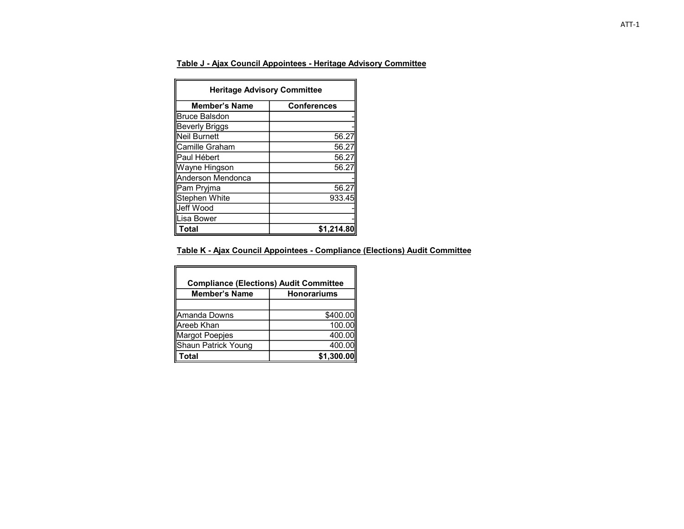## Table J - Ajax Council Appointees - Heritage Advisory Committee

| <b>Heritage Advisory Committee</b> |                    |  |
|------------------------------------|--------------------|--|
| <b>Member's Name</b>               | <b>Conferences</b> |  |
| <b>Bruce Balsdon</b>               |                    |  |
| Beverly Briggs                     |                    |  |
| <b>Neil Burnett</b>                | 56.27              |  |
| Camille Graham                     | 56.27              |  |
| Paul Hébert                        | 56.27              |  |
| Wayne Hingson                      | 56.2               |  |
| Anderson Mendonca                  |                    |  |
| Pam Pryjma                         | 56.2               |  |
| <b>Stephen White</b>               | 933.45             |  |
| Jeff Wood                          |                    |  |
| Lisa Bower                         |                    |  |
| Total                              | \$1,214.8          |  |

#### Table K - Ajax Council Appointees - Compliance (Elections) Audit Committee

| <b>Compliance (Elections) Audit Committee</b> |                    |  |  |
|-----------------------------------------------|--------------------|--|--|
| <b>Member's Name</b>                          | <b>Honorariums</b> |  |  |
|                                               |                    |  |  |
| lAmanda Downs                                 | \$400.00           |  |  |
| lAreeb Khan                                   | 100.00             |  |  |
| Margot Poepjes                                | 400.00             |  |  |
| Shaun Patrick Young                           | 400.00             |  |  |
| Total                                         | \$1,300.00         |  |  |